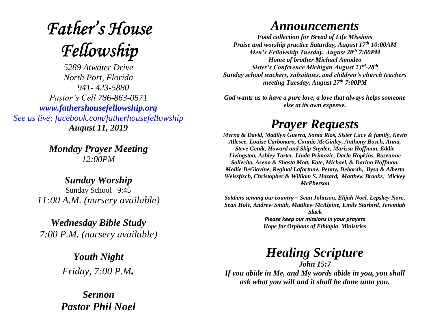# **Father's House** Fellowship

*5289 Atwater Drive North Port, Florida 941- 423-5880 Pastor's Cell 786-863-0571 [www.fathershousefellowship.org](http://www.fathershousefellowship.org/) See us live: facebook.com/fatherhousefellowship August 11, 2019*

> *Monday Prayer Meeting 12:00PM*

*Sunday Worship* Sunday School 9:45 *11:00 A.M. (nursery available)*

*Wednesday Bible Study 7:00 P.M. (nursery available)*

> *Youth Night Friday, 7:00 P.M.*

*Sermon Pastor Phil Noel*

#### *Announcements*

*Food collection for Bread of Life Missions Praise and worship practice Saturday, August 17th 10:00AM Men's Fellowship Tuesday, August 20th 7:00PM Home of brother Michael Amodeo Sister's Conference Michigan August 23rd -28th Sunday school teachers, substitutes, and children's church teachers meeting Tuesday, August 27th 7:00PM*

*God wants us to have a pure love, a love that always helps someone else at its own expense.*

### *Prayer Requests*

*Myrna & David, Madilyn Guerra, Sonia Rios, Sister Lucy & family, Kevin Allesee, Louise Carbonaro, Connie McGinley, Anthony Bosch, Anna, Steve Genik, Howard and Skip Snyder, Marissa Hoffman, Eddie Livingston, Ashley Tarter, Linda Primozic, Darla Hopkins, Roseanne Sollecito, Asena & Shasta Mott, Kate, Michael, & Darina Hoffman, Mollie DeGiovine, Reginal Lafortune, Penny, Deborah, Ilysa & Alberto Weissfisch, Christopher & William S. Hazard, Matthew Brooks, Mickey McPherson* 

*Soldiers serving our country – Sean Johnson, Elijah Noel, Lepskey Nore, Sean Holy, Andrew Smith, Matthew McAlpine, Emily Starbird, Jeremiah Slack Please keep our missions in your prayers*

*Hope for Orphans of Ethiopia Ministries*

## *Healing Scripture*

*John 15:7 If you abide in Me, and My words abide in you, you shall ask what you will and it shall be done unto you.*